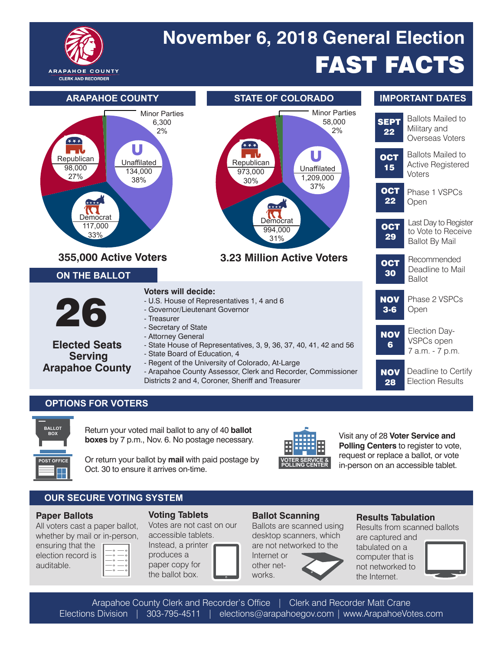

# FAST FACTS **November 6, 2018 General Election**



### **OPTIONS FOR VOTERS**



Return your voted mail ballot to any of 40 **ballot boxes** by 7 p.m., Nov. 6. No postage necessary.

**POST OFFICE**  Or return your ballot by mail with paid postage by **VOTER SERVICE &** Oct. 30 to ensure it arrives on-time.



Visit any of 28 **Voter Service and Polling Centers** to register to vote, request or replace a ballot, or vote in-person on an accessible tablet.

# **OUR SECURE VOTING SYSTEM**

#### **Paper Ballots**

All voters cast a paper ballot, whether by mail or in-person,

| ensuring that the  |
|--------------------|
| election record is |
| auditable.         |



Votes are not cast on our accessible tablets.

Instead, a printer produces a paper copy for the ballot box.

# **Ballot Scanning**

Ballots are scanned using desktop scanners, which are not networked to the

Internet or other networks.

#### **Results Tabulation**

Results from scanned ballots are captured and

tabulated on a computer that is not networked to the Internet.



Arapahoe County Clerk and Recorder's Office | Clerk and Recorder Matt Crane Elections Division | 303-795-4511 | elections@arapahoegov.com | www.ArapahoeVotes.com